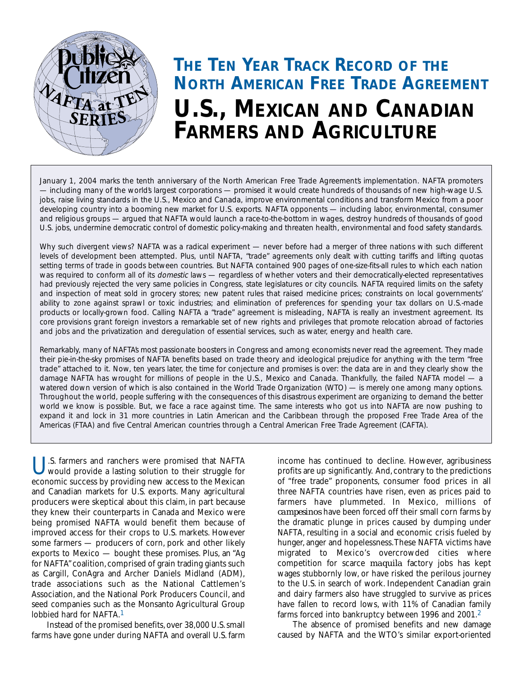

# *THE TEN YEAR TRACK RECORD OF THE NORTH AMERICAN FREE TRADE AGREEMENT U.S., MEXICAN AND CANADIAN FARMERS AND AGRICULTURE*

January 1, 2004 marks the tenth anniversary of the North American Free Trade Agreements implementation. NAFTA promoters *— including many of the world's largest corporations — promised it would create hundreds of thousands of new high-wage U.S. jobs, raise living standards in the U.S., Mexico and Canada, improve environmental conditions and transform Mexico from a poor developing country into a booming new market for U.S. exports. NAFTA opponents — including labor, environmental, consumer and religious groups — argued that NAFTA would launch a race-to-the-bottom in wages, destroy hundreds of thousands of good U.S. jobs, undermine democratic control of domestic policy-making and threaten health, environmental and food safety standards.*

*Why such divergent views? NAFTA was a radical experiment — never before had a merger of three nations with such different levels of development been attempted. Plus, until NAFTA, "trade" agreements only dealt with cutting tariffs and lifting quotas setting terms of trade in goods between countries. But NAFTA contained 900 pages of one-size-fits-all rules to which each nation was required to conform all of its domestic laws — regardless of whether voters and their democratically-elected representatives had previously rejected the very same policies in Congress, state legislatures or city councils. NAFTA required limits on the safety and inspection of meat sold in grocery stores; new patent rules that raised medicine prices; constraints on local governments' ability to zone against sprawl or toxic industries; and elimination of preferences for spending your tax dollars on U.S.-made products or locally-grown food. Calling NAFTA a "trade" agreement is misleading, NAFTA is really an investment agreement. Its core provisions grant foreign investors a remarkable set of new rights and privileges that promote relocation abroad of factories and jobs and the privatization and deregulation of essential services, such as water, energy and health care.*

*Remarkably, many of NAFTA's most passionate boosters in Congress and among economists never read the agreement. They made their pie-in-the-sky promises of NAFTA benefits based on trade theory and ideological prejudice for anything with the term "free trade" attached to it. Now, ten years later, the time for conjecture and promises is over: the data are in and they clearly show the damage NAFTA has wrought for millions of people in the U.S., Mexico and Canada. Thankfully, the failed NAFTA model — a watered down version of which is also contained in the World Trade Organization (WTO) — is merely one among many options. Throughout the world, people suffering with the consequences of this disastrous experiment are organizing to demand the better world we know is possible. But, we face a race against time. The same interests who got us into NAFTA are now pushing to expand it and lock in 31 more countries in Latin American and the Caribbean through the proposed Free Trade Area of the Americas (FTAA) and five Central American countries through a Central American Free Trade Agreement (CAFTA).* 

U.S. farmers and ranchers were promised that NAFTA would provide a lasting solution to their struggle for economic success by providing new access to the Mexican and Canadian markets for U.S. exports. Many agricultural producers were skeptical about this claim, in part because they knew their counterparts in Canada and Mexico were being promised NAFTA would benefit them because of improved access for their crops to U.S. markets. However some farmers — producers of corn, pork and other likely exports to Mexico — bought these promises. Plus, an "Ag for NAFTA" coalition, comprised of grain trading giants such as Cargill, ConAgra and Archer Daniels Midland (ADM), trade associations such as the National Cattlemen's Association, and the National Pork Producers Council, and seed companies such as the Monsanto Agricultural Group lobbied hard for NAFTA.<sup>1</sup>

Instead of the promised benefits, over 38,000 U.S. small farms have gone under during NAFTA and overall U.S. farm income has continued to decline. However, agribusiness profits are up significantly. And, contrary to the predictions of "free trade" proponents, consumer food prices in all three NAFTA countries have risen, even as prices paid to farmers have plummeted. In Mexico, millions of *campesinos* have been forced off their small corn farms by the dramatic plunge in prices caused by dumping under NAFTA, resulting in a social and economic crisis fueled by hunger, anger and hopelessness.These NAFTA victims have migrated to Mexico's overcrowded cities where competition for scarce *maquila* factory jobs has kept wages stubbornly low, or have risked the perilous journey to the U.S. in search of work. Independent Canadian grain and dairy farmers also have struggled to survive as prices have fallen to record lows, with 11% of Canadian family farms forced into bankruptcy between 1996 and 2001.2

The absence of promised benefits and new damage caused by NAFTA and the WTO's similar export-oriented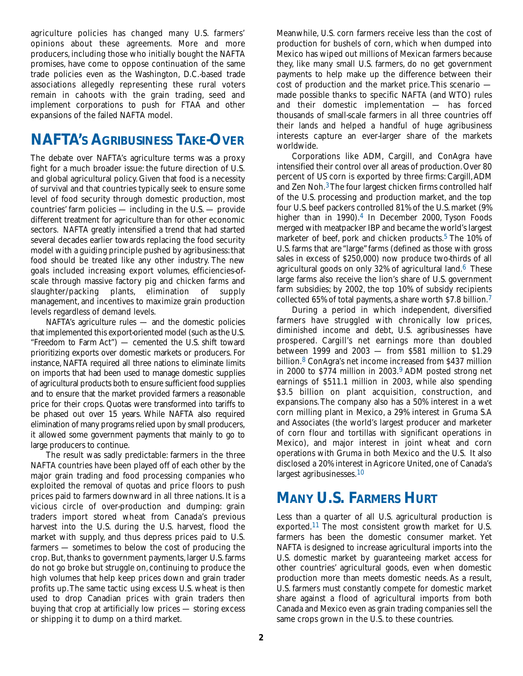agriculture policies has changed many U.S. farmers' opinions about these agreements. More and more producers, including those who initially bought the NAFTA promises, have come to oppose continuation of the same trade policies even as the Washington, D.C.-based trade associations allegedly representing these rural voters remain in cahoots with the grain trading, seed and implement corporations to push for FTAA and other expansions of the failed NAFTA model.

### *NAFTA'S AGRIBUSINESS TAKE-OVER*

The debate over NAFTA's agriculture terms was a proxy fight for a much broader issue: the future direction of U.S. and global agricultural policy. Given that food is a necessity of survival and that countries typically seek to ensure some level of food security through domestic production, most countries' farm policies — including in the U.S. — provide different treatment for agriculture than for other economic sectors. NAFTA greatly intensified a trend that had started several decades earlier towards replacing the food security model with a guiding principle pushed by agribusiness: that food should be treated like any other industry. The new goals included increasing export volumes, efficiencies-ofscale through massive factory pig and chicken farms and slaughter/packing plants, elimination of supply management, and incentives to maximize grain production levels regardless of demand levels.

NAFTA's agriculture rules — and the domestic policies that implemented this export-oriented model (such as the U.S. "Freedom to Farm Act") — cemented the U.S. shift toward prioritizing exports over domestic markets or producers. For instance, NAFTA required all three nations to eliminate limits on imports that had been used to manage domestic supplies of agricultural products both to ensure sufficient food supplies and to ensure that the market provided farmers a reasonable price for their crops. Quotas were transformed into tariffs to be phased out over 15 years. While NAFTA also required elimination of many programs relied upon by small producers, it allowed some government payments that mainly to go to large producers to continue.

The result was sadly predictable: farmers in the three NAFTA countries have been played off of each other by the major grain trading and food processing companies who exploited the removal of quotas and price floors to push prices paid to farmers downward in all three nations. It is a vicious circle of over-production and dumping: grain traders import stored wheat from Canada's previous harvest into the U.S. during the U.S. harvest, flood the market with supply, and thus depress prices paid to U.S. farmers — sometimes to below the cost of producing the crop. But, thanks to government payments, larger U.S. farms do not go broke but struggle on, continuing to produce the high volumes that help keep prices down and grain trader profits up.The same tactic using excess U.S. wheat is then used to drop Canadian prices with grain traders then buying that crop at artificially low prices — storing excess or shipping it to dump on a third market.

Meanwhile, U.S. corn farmers receive less than the cost of production for bushels of corn, which when dumped into Mexico has wiped out millions of Mexican farmers because they, like many small U.S. farmers, do no get government payments to help make up the difference between their cost of production and the market price.This scenario made possible thanks to specific NAFTA (and WTO) rules and their domestic implementation — has forced thousands of small-scale farmers in all three countries off their lands and helped a handful of huge agribusiness interests capture an ever-larger share of the markets worldwide.

Corporations like ADM, Cargill, and ConAgra have intensified their control over all areas of production.Over 80 percent of US corn is exported by three firms: Cargill,ADM and Zen Noh.<sup>3</sup>The four largest chicken firms controlled half of the U.S. processing and production market, and the top four U.S. beef packers controlled 81% of the U.S. market (9% higher than in 1990).<sup>4</sup> In December 2000, Tyson Foods merged with meatpacker IBP and became the world's largest marketer of beef, pork and chicken products.<sup>5</sup> The 10% of U.S. farms that are "large" farms (defined as those with gross sales in excess of \$250,000) now produce two-thirds of all agricultural goods on only  $32\%$  of agricultural land.<sup>6</sup> These large farms also receive the lion's share of U.S. government farm subsidies; by 2002, the top 10% of subsidy recipients collected 65% of total payments, a share worth \$7.8 billion.<sup>7</sup>

During a period in which independent, diversified farmers have struggled with chronically low prices, diminished income and debt, U.S. agribusinesses have prospered. Cargill's net earnings more than doubled between 1999 and 2003 — from \$581 million to \$1.29 billion.8 ConAgra's net income increased from \$437 million in 2000 to  $$774$  million in 2003.<sup>9</sup> ADM posted strong net earnings of \$511.1 million in 2003, while also spending \$3.5 billion on plant acquisition, construction, and expansions.The company also has a 50% interest in a wet corn milling plant in Mexico, a 29% interest in Gruma S.A and Associates (the world's largest producer and marketer of corn flour and tortillas with significant operations in Mexico), and major interest in joint wheat and corn operations with Gruma in both Mexico and the U.S. It also disclosed a 20% interest in Agricore United, one of Canada's largest agribusinesses.<sup>10</sup>

## *MANY U.S. FARMERS HURT*

Less than a quarter of all U.S. agricultural production is exported.11 The most consistent growth market for U.S. farmers has been the domestic consumer market. Yet NAFTA is designed to increase agricultural imports into the U.S. domestic market by guaranteeing market access for other countries' agricultural goods, even when domestic production more than meets domestic needs. As a result, U.S. farmers must constantly compete for domestic market share against a flood of agricultural imports from both Canada and Mexico even as grain trading companies sell the same crops grown in the U.S. to these countries.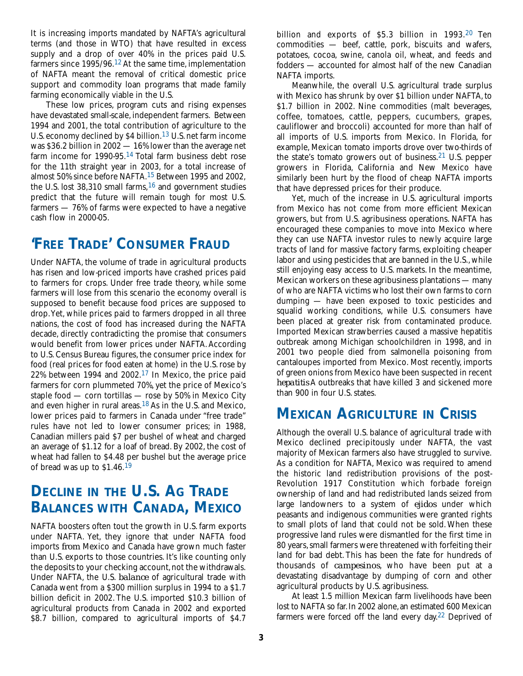It is increasing imports mandated by NAFTA's agricultural terms (and those in WTO) that have resulted in excess supply and a drop of over 40% in the prices paid U.S. farmers since 1995/96.12 At the same time, implementation of NAFTA meant the removal of critical domestic price support and commodity loan programs that made family farming economically viable in the U.S.

These low prices, program cuts and rising expenses have devastated small-scale, independent farmers. Between 1994 and 2001, the total contribution of agriculture to the U.S. economy declined by \$4 billion.<sup>13</sup> U.S. net farm income was \$36.2 billion in 2002 — 16% lower than the average net farm income for 1990-95.14 Total farm business debt rose for the 11th straight year in 2003, for a total increase of almost 50% since before NAFTA.15 Between 1995 and 2002, the U.S. lost  $38,310$  small farms,  $16$  and government studies predict that the future will remain tough for most U.S. farmers — 76% of farms were expected to have a negative cash flow in 2000-05.

### *'FREE TRADE' CONSUMER FRAUD*

Under NAFTA, the volume of trade in agricultural products has risen and low-priced imports have crashed prices paid to farmers for crops. Under free trade theory, while some farmers will lose from this scenario the economy overall is supposed to benefit because food prices are supposed to drop.Yet, while prices paid to farmers dropped in all three nations, the cost of food has increased during the NAFTA decade, directly contradicting the promise that consumers would benefit from lower prices under NAFTA. According to U.S. Census Bureau figures, the consumer price index for food (real prices for food eaten at home) in the U.S. rose by 22% between 1994 and 2002.17 In Mexico, the price paid farmers for corn plummeted 70%, yet the price of Mexico's staple food — corn tortillas — rose by 50% in Mexico City and even higher in rural areas. $18$  As in the U.S. and Mexico, lower prices paid to farmers in Canada under "free trade" rules have not led to lower consumer prices; in 1988, Canadian millers paid \$7 per bushel of wheat and charged an average of \$1.12 for a loaf of bread. By 2002, the cost of wheat had fallen to \$4.48 per bushel but the average price of bread was up to \$1.46.19

### *DECLINE IN THE U.S. AG TRADE BALANCES WITH CANADA, MEXICO*

NAFTA boosters often tout the growth in U.S. farm exports under NAFTA. Yet, they ignore that under NAFTA food imports *from* Mexico and Canada have grown much faster than U.S. exports to those countries. It's like counting only the deposits to your checking account, not the withdrawals. Under NAFTA, the U.S. *balance* of agricultural trade with Canada went from a \$300 million surplus in 1994 to a \$1.7 billion deficit in 2002. The U.S. imported \$10.3 billion of agricultural products from Canada in 2002 and exported \$8.7 billion, compared to agricultural imports of \$4.7

billion and exports of \$5.3 billion in 1993.<sup>20</sup> Ten commodities — beef, cattle, pork, biscuits and wafers, potatoes, cocoa, swine, canola oil, wheat, and feeds and fodders — accounted for almost half of the new Canadian NAFTA imports.

Meanwhile, the overall U.S. agricultural trade surplus with Mexico has shrunk by over \$1 billion under NAFTA, to \$1.7 billion in 2002. Nine commodities (malt beverages, coffee, tomatoes, cattle, peppers, cucumbers, grapes, cauliflower and broccoli) accounted for more than half of all imports of U.S. imports from Mexico. In Florida, for example, Mexican tomato imports drove over two-thirds of the state's tomato growers out of business.<sup>21</sup> U.S. pepper growers in Florida, California and New Mexico have similarly been hurt by the flood of cheap NAFTA imports that have depressed prices for their produce.

Yet, much of the increase in U.S. agricultural imports from Mexico has not come from more efficient Mexican growers, but from U.S. agribusiness operations. NAFTA has encouraged these companies to move into Mexico where they can use NAFTA investor rules to newly acquire large tracts of land for massive factory farms, exploiting cheaper labor and using pesticides that are banned in the U.S., while still enjoying easy access to U.S. markets. In the meantime, Mexican workers on these agribusiness plantations — many of who are NAFTA victims who lost their own farms to corn dumping — have been exposed to toxic pesticides and squalid working conditions, while U.S. consumers have been placed at greater risk from contaminated produce. Imported Mexican strawberries caused a massive hepatitis outbreak among Michigan schoolchildren in 1998, and in 2001 two people died from salmonella poisoning from cantaloupes imported from Mexico. Most recently, imports of green onions from Mexico have been suspected in recent *hepatitis* A outbreaks that have killed 3 and sickened more than 900 in four U.S. states.

#### *MEXICAN AGRICULTURE IN CRISIS*

Although the overall U.S. balance of agricultural trade with Mexico declined precipitously under NAFTA, the vast majority of Mexican farmers also have struggled to survive. As a condition for NAFTA, Mexico was required to amend the historic land redistribution provisions of the post-Revolution 1917 Constitution which forbade foreign ownership of land and had redistributed lands seized from large landowners to a system of *ejidos* under which peasants and indigenous communities were granted rights to small plots of land that could not be sold. When these progressive land rules were dismantled for the first time in 80 years,small farmers were threatened with forfeiting their land for bad debt. This has been the fate for hundreds of thousands of *campesinos*, who have been put at a devastating disadvantage by dumping of corn and other agricultural products by U.S. agribusiness.

At least 1.5 million Mexican farm livelihoods have been lost to NAFTA so far.In 2002 alone,an estimated 600 Mexican farmers were forced off the land every day.22 Deprived of